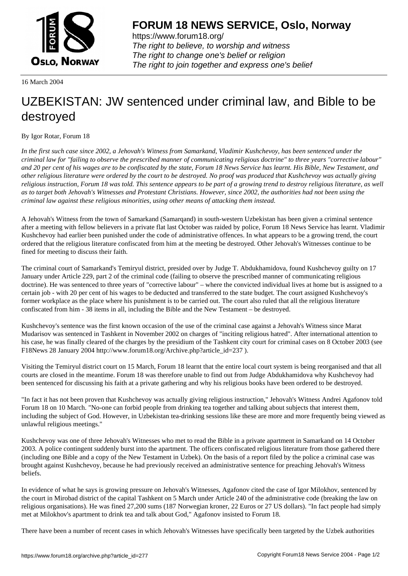

https://www.forum18.org/ The right to believe, to worship and witness The right to change one's belief or religion [The right to join together a](https://www.forum18.org/)nd express one's belief

16 March 2004

## [UZBEKISTAN:](https://www.forum18.org) JW sentenced under criminal law, and Bible to be destroyed

## By Igor Rotar, Forum 18

*In the first such case since 2002, a Jehovah's Witness from Samarkand, Vladimir Kushchevoy, has been sentenced under the criminal law for "failing to observe the prescribed manner of communicating religious doctrine" to three years "corrective labour" and 20 per cent of his wages are to be confiscated by the state, Forum 18 News Service has learnt. His Bible, New Testament, and other religious literature were ordered by the court to be destroyed. No proof was produced that Kushchevoy was actually giving religious instruction, Forum 18 was told. This sentence appears to be part of a growing trend to destroy religious literature, as well as to target both Jehovah's Witnesses and Protestant Christians. However, since 2002, the authorities had not been using the criminal law against these religious minorities, using other means of attacking them instead.*

A Jehovah's Witness from the town of Samarkand (Samarqand) in south-western Uzbekistan has been given a criminal sentence after a meeting with fellow believers in a private flat last October was raided by police, Forum 18 News Service has learnt. Vladimir Kushchevoy had earlier been punished under the code of administrative offences. In what appears to be a growing trend, the court ordered that the religious literature confiscated from him at the meeting be destroyed. Other Jehovah's Witnesses continue to be fined for meeting to discuss their faith.

The criminal court of Samarkand's Temiryul district, presided over by Judge T. Abdukhamidova, found Kushchevoy guilty on 17 January under Article 229, part 2 of the criminal code (failing to observe the prescribed manner of communicating religious doctrine). He was sentenced to three years of "corrective labour" – where the convicted individual lives at home but is assigned to a certain job - with 20 per cent of his wages to be deducted and transferred to the state budget. The court assigned Kushchevoy's former workplace as the place where his punishment is to be carried out. The court also ruled that all the religious literature confiscated from him - 38 items in all, including the Bible and the New Testament – be destroyed.

Kushchevoy's sentence was the first known occasion of the use of the criminal case against a Jehovah's Witness since Marat Mudarisov was sentenced in Tashkent in November 2002 on charges of "inciting religious hatred". After international attention to his case, he was finally cleared of the charges by the presidium of the Tashkent city court for criminal cases on 8 October 2003 (see F18News 28 January 2004 http://www.forum18.org/Archive.php?article\_id=237 ).

Visiting the Temiryul district court on 15 March, Forum 18 learnt that the entire local court system is being reorganised and that all courts are closed in the meantime. Forum 18 was therefore unable to find out from Judge Abdukhamidova why Kushchevoy had been sentenced for discussing his faith at a private gathering and why his religious books have been ordered to be destroyed.

"In fact it has not been proven that Kushchevoy was actually giving religious instruction," Jehovah's Witness Andrei Agafonov told Forum 18 on 10 March. "No-one can forbid people from drinking tea together and talking about subjects that interest them, including the subject of God. However, in Uzbekistan tea-drinking sessions like these are more and more frequently being viewed as unlawful religious meetings."

Kushchevoy was one of three Jehovah's Witnesses who met to read the Bible in a private apartment in Samarkand on 14 October 2003. A police contingent suddenly burst into the apartment. The officers confiscated religious literature from those gathered there (including one Bible and a copy of the New Testament in Uzbek). On the basis of a report filed by the police a criminal case was brought against Kushchevoy, because he had previously received an administrative sentence for preaching Jehovah's Witness beliefs.

In evidence of what he says is growing pressure on Jehovah's Witnesses, Agafonov cited the case of Igor Milokhov, sentenced by the court in Mirobad district of the capital Tashkent on 5 March under Article 240 of the administrative code (breaking the law on religious organisations). He was fined 27,200 sums (187 Norwegian kroner, 22 Euros or 27 US dollars). "In fact people had simply met at Milokhov's apartment to drink tea and talk about God," Agafonov insisted to Forum 18.

There have been a number of recent cases in which Jehovah's Witnesses have specifically been targeted by the Uzbek authorities